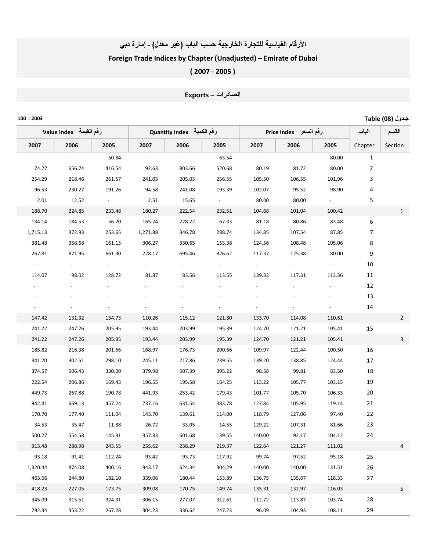## الأرقام القياسية للتجارة الخارجية حسب الباب (غير معلل) - إمارة دبي

## Foreign Trade Indices by Chapter (Unadjusted) – Emirate of Dubai

( 2007 ‐ 2005 )

الصادرات – Exports

ـول (08) Table 2003 = 100

|                     | لرقم القيمة   Value Index | رقم الكمية   Quantity Index<br>رقم السعر Price Index |                | الباب  | القسم                   |        |                |            |              |                |
|---------------------|---------------------------|------------------------------------------------------|----------------|--------|-------------------------|--------|----------------|------------|--------------|----------------|
| 2007                | 2006                      | 2005                                                 | 2007           | 2006   | 2005                    | 2007   | 2006           | 2005       | Chapter      | Section        |
| $\omega_{\rm{max}}$ | $\sim 10^7$               | 50.84                                                | $\sim 10^{-1}$ | $\sim$ | 63.54                   | $\sim$ | $\sim 10^{-1}$ | 80.00      | $\mathbf{1}$ |                |
| 74.27               | 656.74                    | 416.54                                               | 92.63          | 803.66 | 520.68                  | 80.19  | 81.72          | 80.00      | 2            |                |
| 254.29              | 218.46                    | 261.57                                               | 241.03         | 205.03 | 256.55                  | 105.50 | 106.55         | 101.96     | 3            |                |
| 96.53               | 230.27                    | 191.26                                               | 94.58          | 241.08 | 193.39                  | 102.07 | 95.52          | 98.90      | 4            |                |
| 2.01                | 12.52                     | $\sigma_{\rm{max}}=0.1$                              | 2.51           | 15.65  | $\sigma_{\rm{max}}=0.1$ | 80.00  | 80.00          | $\sim 100$ | 5            |                |
| 188.70              | 224.85                    | 233.48                                               | 180.27         | 222.54 | 232.51                  | 104.68 | 101.04         | 100.42     |              | 1              |
| 134.14              | 184.53                    | 56.20                                                | 165.24         | 228.22 | 67.33                   | 81.18  | 80.86          | 83.48      | 6            |                |
| 1,715.13            | 372.93                    | 253.65                                               | 1,271.88       | 346.78 | 288.74                  | 134.85 | 107.54         | 87.85      | 7            |                |
| 381.48              | 358.68                    | 161.15                                               | 306.27         | 330.65 | 153.38                  | 124.56 | 108.48         | 105.06     | 8            |                |
| 267.81              | 871.95                    | 661.30                                               | 228.17         | 695.46 | 826.62                  | 117.37 | 125.38         | 80.00      | 9            |                |
|                     |                           | $\sigma_{\rm{max}}$                                  |                |        | $\sim$                  | $\sim$ | $\sim$         |            | 10           |                |
| 114.07              | 98.02                     | 128.72                                               | 81.87          | 83.56  | 113.55                  | 139.33 | 117.31         | 113.36     | 11           |                |
|                     |                           |                                                      |                |        |                         |        |                |            | 12           |                |
|                     |                           |                                                      |                |        |                         |        |                |            | 13           |                |
|                     |                           |                                                      |                |        |                         |        |                |            | 14           |                |
| 147.42              | 131.32                    | 134.73                                               | 110.26         | 115.12 | 121.80                  | 133.70 | 114.08         | 110.61     |              | $\overline{2}$ |
| 241.22              | 247.26                    | 205.95                                               | 193.44         | 203.99 | 195.39                  | 124.70 | 121.21         | 105.41     | 15           |                |
| 241.22              | 247.26                    | 205.95                                               | 193.44         | 203.99 | 195.39                  | 124.70 | 121.21         | 105.41     |              | 3              |
| 185.82              | 216.38                    | 201.66                                               | 168.97         | 176.73 | 200.66                  | 109.97 | 122.44         | 100.50     | 16           |                |
| 341.20              | 302.51                    | 298.10                                               | 245.11         | 217.86 | 239.55                  | 139.20 | 138.85         | 124.44     | 17           |                |
| 374.57              | 506.43                    | 330.00                                               | 379.98         | 507.39 | 395.22                  | 98.58  | 99.81          | 83.50      | 18           |                |
| 222.54              | 206.86                    | 169.43                                               | 196.55         | 195.58 | 164.25                  | 113.22 | 105.77         | 103.15     | 19           |                |
| 449.73              | 267.88                    | 190.78                                               | 441.93         | 253.42 | 179.43                  | 101.77 | 105.70         | 106.33     | 20           |                |
| 942.41              | 669.13                    | 457.24                                               | 737.16         | 631.54 | 383.78                  | 127.84 | 105.95         | 119.14     | 21           |                |
| 170.70              | 177.40                    | 111.04                                               | 143.70         | 139.61 | 114.00                  | 118.79 | 127.06         | 97.40      | 22           |                |
| 34.53               | 35.47                     | 11.88                                                | 26.72          | 33.05  | 14.55                   | 129.22 | 107.31         | 81.66      | 23           |                |
| 500.27              | 554.58                    | 145.31                                               | 357.33         | 601.68 | 139.55                  | 140.00 | 92.17          | 104.12     | 24           |                |
| 313.48              | 288.98                    | 243.55                                               | 255.62         | 238.29 | 219.37                  | 122.64 | 121.27         | 111.02     |              | 4              |
| 93.18               | 91.41                     | 112.24                                               | 93.42          | 93.73  | 117.92                  | 99.74  | 97.52          | 95.18      | 25           |                |
| 1,320.44            | 874.08                    | 400.16                                               | 943.17         | 624.34 | 304.29                  | 140.00 | 140.00         | 131.51     | 26           |                |
| 463.66              | 244.80                    | 182.10                                               | 339.06         | 180.44 | 153.89                  | 136.75 | 135.67         | 118.33     | 27           |                |
| 418.23              | 227.05                    | 173.75                                               | 309.08         | 170.75 | 149.74                  | 135.31 | 132.97         | 116.03     |              | 5              |
| 345.09              | 315.51                    | 324.31                                               | 306.15         | 277.07 | 312.61                  | 112.72 | 113.87         | 103.74     | 28           |                |
| 292.34              | 353.22                    | 267.28                                               | 304.23         | 336.62 | 247.23                  | 96.09  | 104.93         | 108.11     | 29           |                |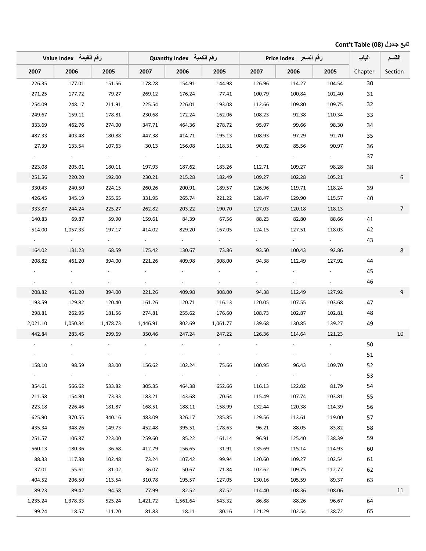## تابع جدول (08) Cont't Table

|                     | لرقم القيمة   Value Index |                     | رقم الكمية Quantity Index |                     |                     | رقم السعر Price Index |                     |                     | الباب   | القسم          |
|---------------------|---------------------------|---------------------|---------------------------|---------------------|---------------------|-----------------------|---------------------|---------------------|---------|----------------|
| 2007                | 2006                      | 2005                | 2007                      | 2006                | 2005                | 2007                  | 2006                | 2005                | Chapter | Section        |
| 226.35              | 177.01                    | 151.56              | 178.28                    | 154.91              | 144.98              | 126.96                | 114.27              | 104.54              | 30      |                |
| 271.25              | 177.72                    | 79.27               | 269.12                    | 176.24              | 77.41               | 100.79                | 100.84              | 102.40              | 31      |                |
| 254.09              | 248.17                    | 211.91              | 225.54                    | 226.01              | 193.08              | 112.66                | 109.80              | 109.75              | 32      |                |
| 249.67              | 159.11                    | 178.81              | 230.68                    | 172.24              | 162.06              | 108.23                | 92.38               | 110.34              | 33      |                |
| 333.69              | 462.76                    | 274.00              | 347.71                    | 464.36              | 278.72              | 95.97                 | 99.66               | 98.30               | 34      |                |
| 487.33              | 403.48                    | 180.88              | 447.38                    | 414.71              | 195.13              | 108.93                | 97.29               | 92.70               | 35      |                |
| 27.39               | 133.54                    | 107.63              | 30.13                     | 156.08              | 118.31              | 90.92                 | 85.56               | 90.97               | 36      |                |
| $\sigma_{\rm{max}}$ | $\sim$                    | $\omega_{\rm{max}}$ | $\omega_{\rm{max}}$       | $\sim 100$          | $\sim 10^{-1}$      | $\omega_{\rm{max}}$   |                     |                     | 37      |                |
| 223.08              | 205.01                    | 180.11              | 197.93                    | 187.62              | 183.26              | 112.71                | 109.27              | 98.28               | 38      |                |
| 251.56              | 220.20                    | 192.00              | 230.21                    | 215.28              | 182.49              | 109.27                | 102.28              | 105.21              |         | 6              |
| 330.43              | 240.50                    | 224.15              | 260.26                    | 200.91              | 189.57              | 126.96                | 119.71              | 118.24              | 39      |                |
| 426.45              | 345.19                    | 255.65              | 331.95                    | 265.74              | 221.22              | 128.47                | 129.90              | 115.57              | 40      |                |
| 333.87              | 244.24                    | 225.27              | 262.82                    | 203.22              | 190.70              | 127.03                | 120.18              | 118.13              |         | $\overline{7}$ |
| 140.83              | 69.87                     | 59.90               | 159.61                    | 84.39               | 67.56               | 88.23                 | 82.80               | 88.66               | 41      |                |
| 514.00              | 1,057.33                  | 197.17              | 414.02                    | 829.20              | 167.05              | 124.15                | 127.51              | 118.03              | 42      |                |
| $\sigma_{\rm{max}}$ | $\sim$                    | $\omega_{\rm{max}}$ | $\sigma_{\rm{max}}$       | $\sim 100$          | $\omega_{\rm{max}}$ |                       | $\sigma_{\rm{max}}$ |                     | 43      |                |
| 164.02              | 131.23                    | 68.59               | 175.42                    | 130.67              | 73.86               | 93.50                 | 100.43              | 92.86               |         | $8\phantom{1}$ |
| 208.82              | 461.20                    | 394.00              | 221.26                    | 409.98              | 308.00              | 94.38                 | 112.49              | 127.92              | 44      |                |
|                     | $\sim$                    |                     |                           |                     |                     |                       |                     |                     | 45      |                |
|                     | $\sim$                    | $\sim$              |                           |                     |                     |                       |                     |                     | 46      |                |
| 208.82              | 461.20                    | 394.00              | 221.26                    | 409.98              | 308.00              | 94.38                 | 112.49              | 127.92              |         | 9              |
| 193.59              | 129.82                    | 120.40              | 161.26                    | 120.71              | 116.13              | 120.05                | 107.55              | 103.68              | 47      |                |
| 298.81              | 262.95                    | 181.56              | 274.81                    | 255.62              | 176.60              | 108.73                | 102.87              | 102.81              | 48      |                |
| 2,021.10            | 1,050.34                  | 1,478.73            | 1,446.91                  | 802.69              | 1,061.77            | 139.68                | 130.85              | 139.27              | 49      |                |
| 442.84              | 283.45                    | 299.69              | 350.46                    | 247.24              | 247.22              | 126.36                | 114.64              | 121.23              |         | 10             |
|                     |                           |                     |                           |                     |                     |                       |                     |                     | 50      |                |
|                     |                           |                     |                           |                     |                     |                       |                     |                     | 51      |                |
| 158.10              | 98.59                     | 83.00               | 156.62                    | 102.24              | 75.66               | 100.95                | 96.43               | 109.70              | 52      |                |
| $\omega_{\rm{max}}$ | $\omega_{\rm{max}}$       | $\omega_{\rm{max}}$ | $\omega_{\rm{max}}$       | $\omega_{\rm{max}}$ | $\sim$              | $\omega_{\rm{max}}$   | $\sim$              | $\sigma_{\rm{max}}$ | 53      |                |
| 354.61              | 566.62                    | 533.82              | 305.35                    | 464.38              | 652.66              | 116.13                | 122.02              | 81.79               | 54      |                |
| 211.58              | 154.80                    | 73.33               | 183.21                    | 143.68              | 70.64               | 115.49                | 107.74              | 103.81              | 55      |                |
| 223.18              | 226.46                    | 181.87              | 168.51                    | 188.11              | 158.99              | 132.44                | 120.38              | 114.39              | 56      |                |
| 625.90              | 370.55                    | 340.16              | 483.09                    | 326.17              | 285.85              | 129.56                | 113.61              | 119.00              | 57      |                |
| 435.34              | 348.26                    | 149.73              | 452.48                    | 395.51              | 178.63              | 96.21                 | 88.05               | 83.82               | 58      |                |
| 251.57              | 106.87                    | 223.00              | 259.60                    | 85.22               | 161.14              | 96.91                 | 125.40              | 138.39              | 59      |                |
| 560.13              | 180.36                    | 36.68               | 412.79                    | 156.65              | 31.91               | 135.69                | 115.14              | 114.93              | 60      |                |
| 88.33               | 117.38                    | 102.48              | 73.24                     | 107.42              | 99.94               | 120.60                | 109.27              | 102.54              | 61      |                |
| 37.01               | 55.61                     | 81.02               | 36.07                     | 50.67               | 71.84               | 102.62                | 109.75              | 112.77              | 62      |                |
| 404.52              | 206.50                    | 113.54              | 310.78                    | 195.57              | 127.05              | 130.16                | 105.59              | 89.37               | 63      |                |
| 89.23               | 89.42                     | 94.58               | 77.99                     | 82.52               | 87.52               | 114.40                | 108.36              | 108.06              |         | 11             |
| 1,235.24            | 1,378.33                  | 525.24              | 1,421.72                  | 1,561.64            | 543.32              | 86.88                 | 88.26               | 96.67               | 64      |                |
| 99.24               | 18.57                     | 111.20              | 81.83                     | 18.11               | 80.16               | 121.29                | 102.54              | 138.72              | 65      |                |